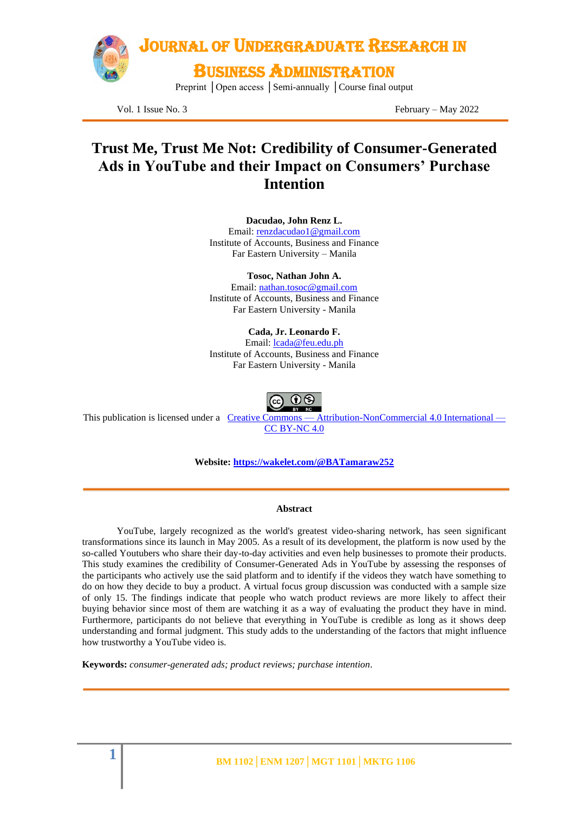

Vol. 1 Issue No. 3 February – May 2022

### **Trust Me, Trust Me Not: Credibility of Consumer-Generated Ads in YouTube and their Impact on Consumers' Purchase Intention**

**Dacudao, John Renz L.**

Email: [renzdacudao1@gmail.com](mailto:renzdacudao1@gmail.com) Institute of Accounts, Business and Finance Far Eastern University – Manila

**Tosoc, Nathan John A.**

Email: [nathan.tosoc@gmail.com](mailto:nathan.tosoc@gmail.com) Institute of Accounts, Business and Finance Far Eastern University - Manila

**Cada, Jr. Leonardo F.** Email: [lcada@feu.edu.ph](mailto:lcada@feu.edu.ph) Institute of Accounts, Business and Finance Far Eastern University - Manila

This publication is licensed under a Creative Commons — [Attribution-NonCommercial](https://creativecommons.org/licenses/by-nc/4.0/) 4.0 International — [CC BY-NC 4.0](https://creativecommons.org/licenses/by-nc/4.0/)

**Website:<https://wakelet.com/@BATamaraw252>**

#### **Abstract**

YouTube, largely recognized as the world's greatest video-sharing network, has seen significant transformations since its launch in May 2005. As a result of its development, the platform is now used by the so-called Youtubers who share their day-to-day activities and even help businesses to promote their products. This study examines the credibility of Consumer-Generated Ads in YouTube by assessing the responses of the participants who actively use the said platform and to identify if the videos they watch have something to do on how they decide to buy a product. A virtual focus group discussion was conducted with a sample size of only 15. The findings indicate that people who watch product reviews are more likely to affect their buying behavior since most of them are watching it as a way of evaluating the product they have in mind. Furthermore, participants do not believe that everything in YouTube is credible as long as it shows deep understanding and formal judgment. This study adds to the understanding of the factors that might influence how trustworthy a YouTube video is.

**Keywords:** *consumer-generated ads; product reviews; purchase intention.*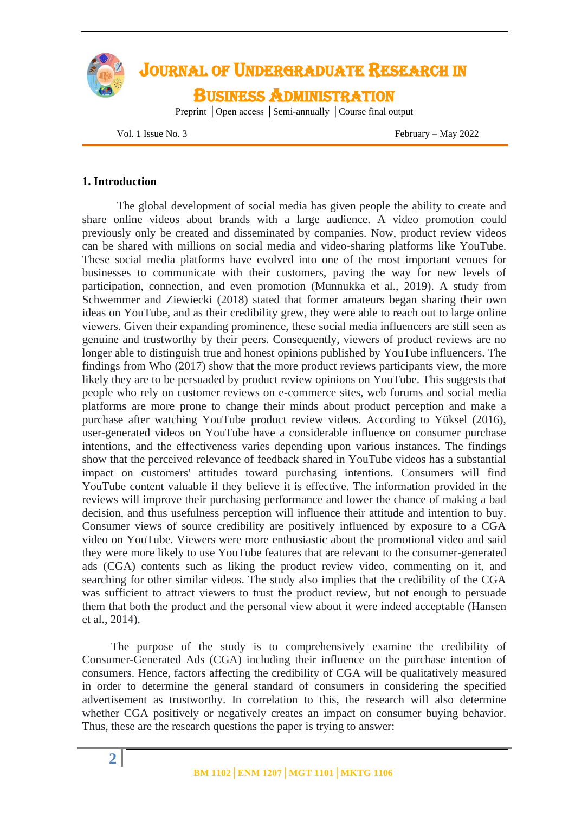

Vol. 1 Issue No. 3 February – May 2022

### **1. Introduction**

The global development of social media has given people the ability to create and share online videos about brands with a large audience. A video promotion could previously only be created and disseminated by companies. Now, product review videos can be shared with millions on social media and video-sharing platforms like YouTube. These social media platforms have evolved into one of the most important venues for businesses to communicate with their customers, paving the way for new levels of participation, connection, and even promotion (Munnukka et al., 2019). A study from Schwemmer and Ziewiecki (2018) stated that former amateurs began sharing their own ideas on YouTube, and as their credibility grew, they were able to reach out to large online viewers. Given their expanding prominence, these social media influencers are still seen as genuine and trustworthy by their peers. Consequently, viewers of product reviews are no longer able to distinguish true and honest opinions published by YouTube influencers. The findings from Who (2017) show that the more product reviews participants view, the more likely they are to be persuaded by product review opinions on YouTube. This suggests that people who rely on customer reviews on e-commerce sites, web forums and social media platforms are more prone to change their minds about product perception and make a purchase after watching YouTube product review videos. According to Yüksel (2016), user-generated videos on YouTube have a considerable influence on consumer purchase intentions, and the effectiveness varies depending upon various instances. The findings show that the perceived relevance of feedback shared in YouTube videos has a substantial impact on customers' attitudes toward purchasing intentions. Consumers will find YouTube content valuable if they believe it is effective. The information provided in the reviews will improve their purchasing performance and lower the chance of making a bad decision, and thus usefulness perception will influence their attitude and intention to buy. Consumer views of source credibility are positively influenced by exposure to a CGA video on YouTube. Viewers were more enthusiastic about the promotional video and said they were more likely to use YouTube features that are relevant to the consumer-generated ads (CGA) contents such as liking the product review video, commenting on it, and searching for other similar videos. The study also implies that the credibility of the CGA was sufficient to attract viewers to trust the product review, but not enough to persuade them that both the product and the personal view about it were indeed acceptable (Hansen et al., 2014).

 The purpose of the study is to comprehensively examine the credibility of Consumer-Generated Ads (CGA) including their influence on the purchase intention of consumers. Hence, factors affecting the credibility of CGA will be qualitatively measured in order to determine the general standard of consumers in considering the specified advertisement as trustworthy. In correlation to this, the research will also determine whether CGA positively or negatively creates an impact on consumer buying behavior. Thus, these are the research questions the paper is trying to answer: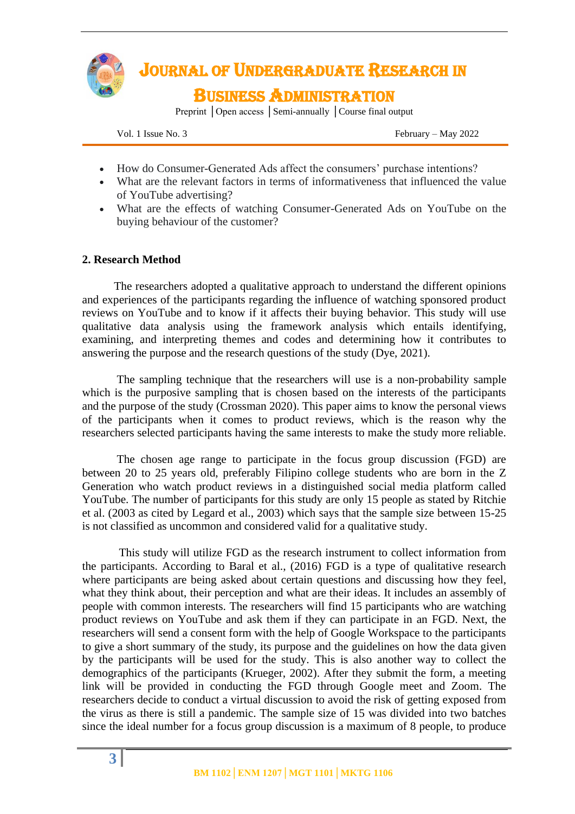

Vol. 1 Issue No. 3 February – May 2022

- How do Consumer-Generated Ads affect the consumers' purchase intentions?
- What are the relevant factors in terms of informativeness that influenced the value of YouTube advertising?
- What are the effects of watching Consumer-Generated Ads on YouTube on the buying behaviour of the customer?

### **2. Research Method**

 The researchers adopted a qualitative approach to understand the different opinions and experiences of the participants regarding the influence of watching sponsored product reviews on YouTube and to know if it affects their buying behavior. This study will use qualitative data analysis using the framework analysis which entails identifying, examining, and interpreting themes and codes and determining how it contributes to answering the purpose and the research questions of the study (Dye, 2021).

 The sampling technique that the researchers will use is a non-probability sample which is the purposive sampling that is chosen based on the interests of the participants and the purpose of the study (Crossman 2020). This paper aims to know the personal views of the participants when it comes to product reviews, which is the reason why the researchers selected participants having the same interests to make the study more reliable.

The chosen age range to participate in the focus group discussion (FGD) are between 20 to 25 years old, preferably Filipino college students who are born in the Z Generation who watch product reviews in a distinguished social media platform called YouTube. The number of participants for this study are only 15 people as stated by Ritchie et al. (2003 as cited by Legard et al., 2003) which says that the sample size between 15-25 is not classified as uncommon and considered valid for a qualitative study.

This study will utilize FGD as the research instrument to collect information from the participants. According to Baral et al., (2016) FGD is a type of qualitative research where participants are being asked about certain questions and discussing how they feel, what they think about, their perception and what are their ideas. It includes an assembly of people with common interests. The researchers will find 15 participants who are watching product reviews on YouTube and ask them if they can participate in an FGD. Next, the researchers will send a consent form with the help of Google Workspace to the participants to give a short summary of the study, its purpose and the guidelines on how the data given by the participants will be used for the study. This is also another way to collect the demographics of the participants (Krueger, 2002). After they submit the form, a meeting link will be provided in conducting the FGD through Google meet and Zoom. The researchers decide to conduct a virtual discussion to avoid the risk of getting exposed from the virus as there is still a pandemic. The sample size of 15 was divided into two batches since the ideal number for a focus group discussion is a maximum of 8 people, to produce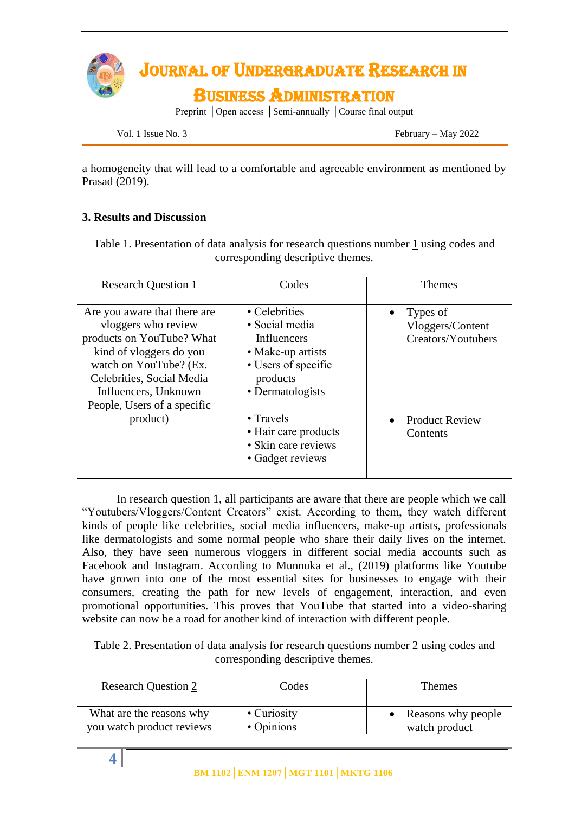

Vol. 1 Issue No. 3 February – May 2022

a homogeneity that will lead to a comfortable and agreeable environment as mentioned by Prasad (2019).

### **3. Results and Discussion**

Table 1. Presentation of data analysis for research questions number 1 using codes and corresponding descriptive themes.

| <b>Research Question 1</b>                                                                                                                                                                                                | Codes                                                                                                                      | <b>Themes</b>                                      |
|---------------------------------------------------------------------------------------------------------------------------------------------------------------------------------------------------------------------------|----------------------------------------------------------------------------------------------------------------------------|----------------------------------------------------|
| Are you aware that there are<br>vloggers who review<br>products on YouTube? What<br>kind of vloggers do you<br>watch on YouTube? (Ex.<br>Celebrities, Social Media<br>Influencers, Unknown<br>People, Users of a specific | • Celebrities<br>• Social media<br>Influencers<br>• Make-up artists<br>• Users of specific<br>products<br>• Dermatologists | Types of<br>Vloggers/Content<br>Creators/Youtubers |
| product)                                                                                                                                                                                                                  | $\cdot$ Travels<br>• Hair care products<br>• Skin care reviews<br>• Gadget reviews                                         | <b>Product Review</b><br>Contents                  |

In research question 1, all participants are aware that there are people which we call "Youtubers/Vloggers/Content Creators" exist. According to them, they watch different kinds of people like celebrities, social media influencers, make-up artists, professionals like dermatologists and some normal people who share their daily lives on the internet. Also, they have seen numerous vloggers in different social media accounts such as Facebook and Instagram. According to Munnuka et al., (2019) platforms like Youtube have grown into one of the most essential sites for businesses to engage with their consumers, creating the path for new levels of engagement, interaction, and even promotional opportunities. This proves that YouTube that started into a video-sharing website can now be a road for another kind of interaction with different people.

Table 2. Presentation of data analysis for research questions number 2 using codes and corresponding descriptive themes.

| <b>Research Question 2</b> | Codes       | Themes             |
|----------------------------|-------------|--------------------|
| What are the reasons why   | • Curiosity | Reasons why people |
| you watch product reviews  | • Opinions  | watch product      |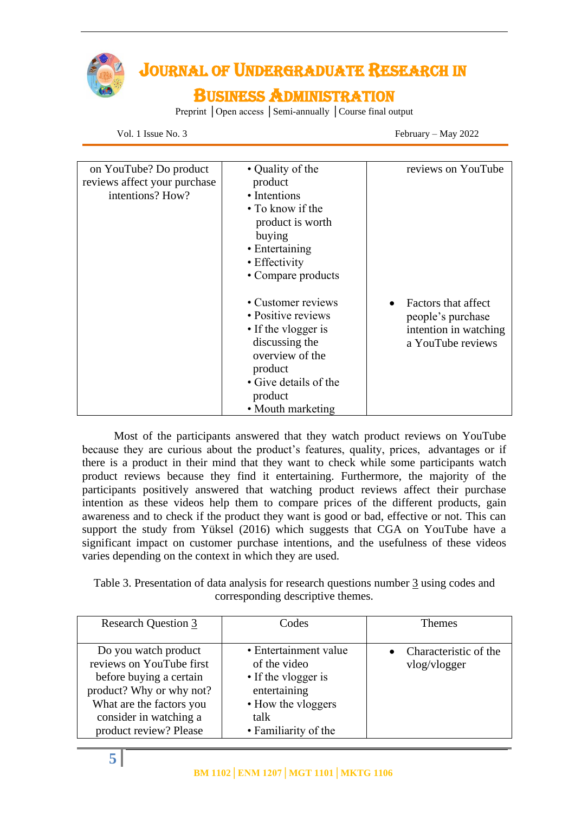

# JOURNAL OF UNDERGRADUATE RESEARCH IN

## BUSINESS ADMINISTRATION

Preprint │Open access │Semi-annually │Course final output

Vol. 1 Issue No. 3 February – May 2022

| on YouTube? Do product<br>reviews affect your purchase<br>intentions? How? | • Quality of the<br>product<br>• Intentions<br>• To know if the<br>product is worth<br>buying<br>• Entertaining<br>• Effectivity<br>• Compare products                   | reviews on YouTube                                                                                  |
|----------------------------------------------------------------------------|--------------------------------------------------------------------------------------------------------------------------------------------------------------------------|-----------------------------------------------------------------------------------------------------|
|                                                                            | • Customer reviews<br>• Positive reviews<br>• If the vlogger is<br>discussing the<br>overview of the<br>product<br>• Give details of the<br>product<br>• Mouth marketing | Factors that affect<br>$\bullet$<br>people's purchase<br>intention in watching<br>a YouTube reviews |

 Most of the participants answered that they watch product reviews on YouTube because they are curious about the product's features, quality, prices, advantages or if there is a product in their mind that they want to check while some participants watch product reviews because they find it entertaining. Furthermore, the majority of the participants positively answered that watching product reviews affect their purchase intention as these videos help them to compare prices of the different products, gain awareness and to check if the product they want is good or bad, effective or not. This can support the study from Yüksel (2016) which suggests that CGA on YouTube have a significant impact on customer purchase intentions, and the usefulness of these videos varies depending on the context in which they are used.

Table 3. Presentation of data analysis for research questions number 3 using codes and corresponding descriptive themes.

| <b>Research Question 3</b>                                                                                                                                                              | Codes                                                                                                                              | <b>Themes</b>                         |
|-----------------------------------------------------------------------------------------------------------------------------------------------------------------------------------------|------------------------------------------------------------------------------------------------------------------------------------|---------------------------------------|
| Do you watch product<br>reviews on YouTube first<br>before buying a certain<br>product? Why or why not?<br>What are the factors you<br>consider in watching a<br>product review? Please | • Entertainment value<br>of the video<br>• If the vlogger is<br>entertaining<br>• How the vloggers<br>talk<br>• Familiarity of the | Characteristic of the<br>vlog/vlogger |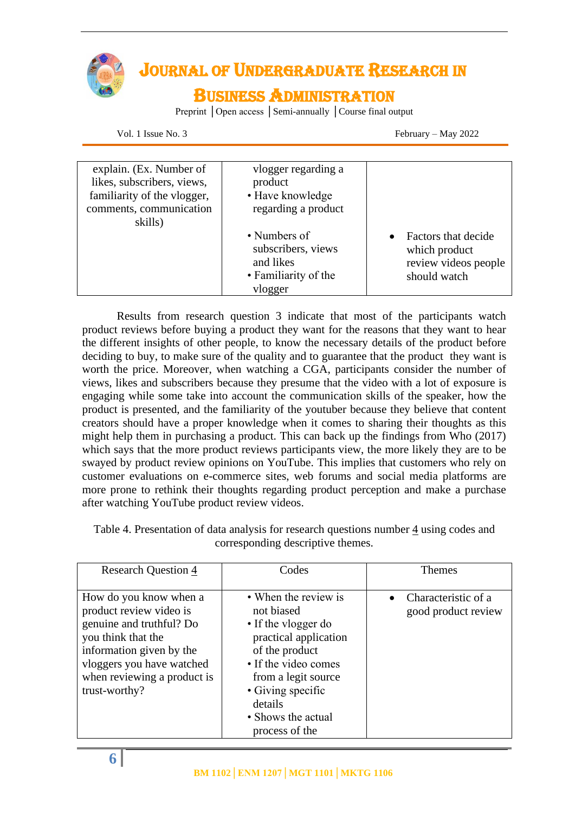

# JOURNAL OF UNDERGRADUATE RESEARCH IN

### BUSINESS ADMINISTRATION

Preprint │Open access │Semi-annually │Course final output

Vol. 1 Issue No. 3 February – May 2022

| explain. (Ex. Number of<br>likes, subscribers, views,<br>familiarity of the vlogger,<br>comments, communication<br>skills) | vlogger regarding a<br>product<br>• Have knowledge<br>regarding a product          |                                                                              |
|----------------------------------------------------------------------------------------------------------------------------|------------------------------------------------------------------------------------|------------------------------------------------------------------------------|
|                                                                                                                            | • Numbers of<br>subscribers, views<br>and likes<br>• Familiarity of the<br>vlogger | Factors that decide<br>which product<br>review videos people<br>should watch |

Results from research question 3 indicate that most of the participants watch product reviews before buying a product they want for the reasons that they want to hear the different insights of other people, to know the necessary details of the product before deciding to buy, to make sure of the quality and to guarantee that the product they want is worth the price. Moreover, when watching a CGA, participants consider the number of views, likes and subscribers because they presume that the video with a lot of exposure is engaging while some take into account the communication skills of the speaker, how the product is presented, and the familiarity of the youtuber because they believe that content creators should have a proper knowledge when it comes to sharing their thoughts as this might help them in purchasing a product. This can back up the findings from Who (2017) which says that the more product reviews participants view, the more likely they are to be swayed by product review opinions on YouTube. This implies that customers who rely on customer evaluations on e-commerce sites, web forums and social media platforms are more prone to rethink their thoughts regarding product perception and make a purchase after watching YouTube product review videos.

| <b>Research Question 4</b>  | Codes                 | <b>Themes</b>       |
|-----------------------------|-----------------------|---------------------|
|                             |                       |                     |
| How do you know when a      | • When the review is  | Characteristic of a |
| product review video is     | not biased            | good product review |
| genuine and truthful? Do    | • If the vlogger do   |                     |
| you think that the          | practical application |                     |
| information given by the    | of the product        |                     |
| vloggers you have watched   | • If the video comes  |                     |
| when reviewing a product is | from a legit source   |                     |
| trust-worthy?               | • Giving specific     |                     |
|                             | details               |                     |
|                             | • Shows the actual    |                     |
|                             | process of the        |                     |

Table 4. Presentation of data analysis for research questions number  $\frac{4}{3}$  using codes and corresponding descriptive themes.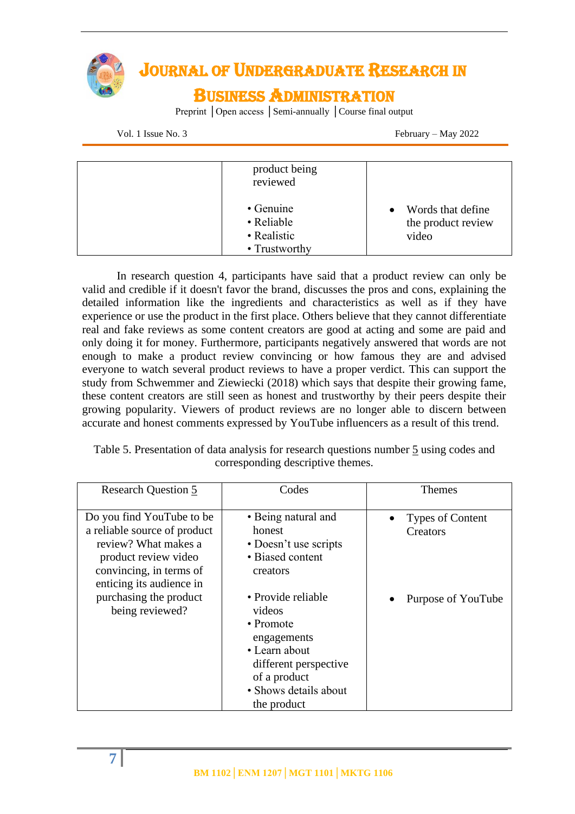

Vol. 1 Issue No. 3 February – May 2022

| product being<br>reviewed                                       |                                                  |
|-----------------------------------------------------------------|--------------------------------------------------|
| $\bullet$ Genuine<br>• Reliable<br>• Realistic<br>• Trustworthy | Words that define<br>the product review<br>video |

In research question 4, participants have said that a product review can only be valid and credible if it doesn't favor the brand, discusses the pros and cons, explaining the detailed information like the ingredients and characteristics as well as if they have experience or use the product in the first place. Others believe that they cannot differentiate real and fake reviews as some content creators are good at acting and some are paid and only doing it for money. Furthermore, participants negatively answered that words are not enough to make a product review convincing or how famous they are and advised everyone to watch several product reviews to have a proper verdict. This can support the study from Schwemmer and Ziewiecki (2018) which says that despite their growing fame, these content creators are still seen as honest and trustworthy by their peers despite their growing popularity. Viewers of product reviews are no longer able to discern between accurate and honest comments expressed by YouTube influencers as a result of this trend.

Table 5. Presentation of data analysis for research questions number 5 using codes and corresponding descriptive themes.

| <b>Research Question 5</b>                                                                                                                                       | Codes                                                                                                                                                              | <b>Themes</b>                       |
|------------------------------------------------------------------------------------------------------------------------------------------------------------------|--------------------------------------------------------------------------------------------------------------------------------------------------------------------|-------------------------------------|
| Do you find YouTube to be<br>a reliable source of product<br>review? What makes a<br>product review video<br>convincing, in terms of<br>enticing its audience in | • Being natural and<br>honest<br>• Doesn't use scripts<br>• Biased content<br>creators                                                                             | <b>Types of Content</b><br>Creators |
| purchasing the product<br>being reviewed?                                                                                                                        | • Provide reliable<br>videos<br>$\bullet$ Promote<br>engagements<br>• Learn about<br>different perspective<br>of a product<br>• Shows details about<br>the product | Purpose of YouTube                  |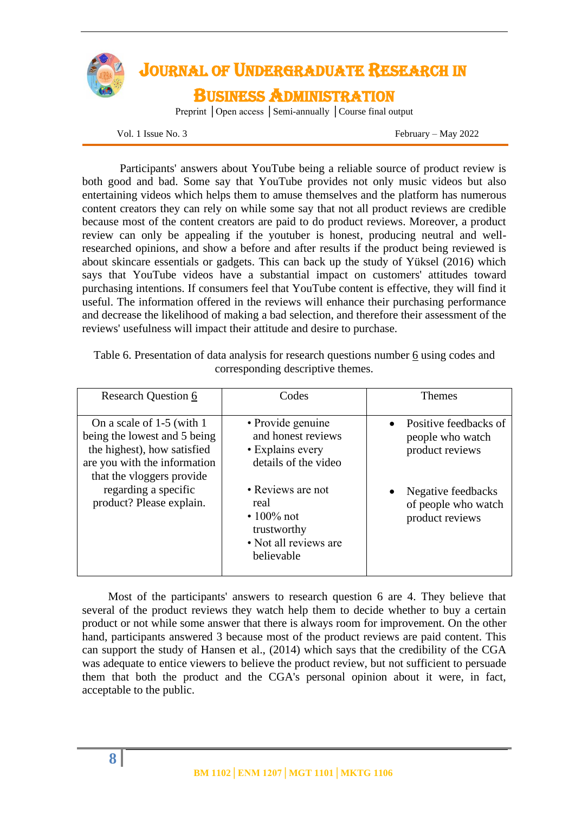

Vol. 1 Issue No. 3 February – May 2022

Participants' answers about YouTube being a reliable source of product review is both good and bad. Some say that YouTube provides not only music videos but also entertaining videos which helps them to amuse themselves and the platform has numerous content creators they can rely on while some say that not all product reviews are credible because most of the content creators are paid to do product reviews. Moreover, a product review can only be appealing if the youtuber is honest, producing neutral and wellresearched opinions, and show a before and after results if the product being reviewed is about skincare essentials or gadgets. This can back up the study of Yüksel (2016) which says that YouTube videos have a substantial impact on customers' attitudes toward purchasing intentions. If consumers feel that YouTube content is effective, they will find it useful. The information offered in the reviews will enhance their purchasing performance and decrease the likelihood of making a bad selection, and therefore their assessment of the reviews' usefulness will impact their attitude and desire to purchase.

| <b>Research Question 6</b>                                                                                                                                                                                 | Codes                                                                                                                                                | <b>Themes</b>                                                                                                                             |
|------------------------------------------------------------------------------------------------------------------------------------------------------------------------------------------------------------|------------------------------------------------------------------------------------------------------------------------------------------------------|-------------------------------------------------------------------------------------------------------------------------------------------|
| On a scale of 1-5 (with 1)<br>being the lowest and 5 being<br>the highest), how satisfied<br>are you with the information<br>that the vloggers provide<br>regarding a specific<br>product? Please explain. | • Provide genuine<br>and honest reviews<br>• Explains every<br>details of the video<br>• Reviews are not<br>real<br>$\cdot 100\%$ not<br>trustworthy | Positive feedbacks of<br>people who watch<br>product reviews<br>Negative feedbacks<br>$\bullet$<br>of people who watch<br>product reviews |
|                                                                                                                                                                                                            | • Not all reviews are<br>believable                                                                                                                  |                                                                                                                                           |

Table 6. Presentation of data analysis for research questions number 6 using codes and corresponding descriptive themes.

 Most of the participants' answers to research question 6 are 4. They believe that several of the product reviews they watch help them to decide whether to buy a certain product or not while some answer that there is always room for improvement. On the other hand, participants answered 3 because most of the product reviews are paid content. This can support the study of Hansen et al., (2014) which says that the credibility of the CGA was adequate to entice viewers to believe the product review, but not sufficient to persuade them that both the product and the CGA's personal opinion about it were, in fact, acceptable to the public.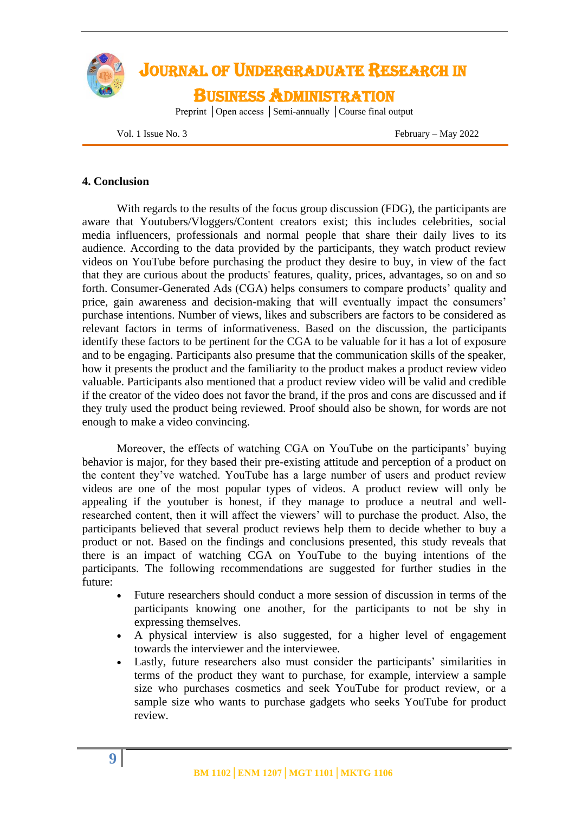

Vol. 1 Issue No. 3 February – May 2022

### **4. Conclusion**

With regards to the results of the focus group discussion (FDG), the participants are aware that Youtubers/Vloggers/Content creators exist; this includes celebrities, social media influencers, professionals and normal people that share their daily lives to its audience. According to the data provided by the participants, they watch product review videos on YouTube before purchasing the product they desire to buy, in view of the fact that they are curious about the products' features, quality, prices, advantages, so on and so forth. Consumer-Generated Ads (CGA) helps consumers to compare products' quality and price, gain awareness and decision-making that will eventually impact the consumers' purchase intentions. Number of views, likes and subscribers are factors to be considered as relevant factors in terms of informativeness. Based on the discussion, the participants identify these factors to be pertinent for the CGA to be valuable for it has a lot of exposure and to be engaging. Participants also presume that the communication skills of the speaker, how it presents the product and the familiarity to the product makes a product review video valuable. Participants also mentioned that a product review video will be valid and credible if the creator of the video does not favor the brand, if the pros and cons are discussed and if they truly used the product being reviewed. Proof should also be shown, for words are not enough to make a video convincing.

Moreover, the effects of watching CGA on YouTube on the participants' buying behavior is major, for they based their pre-existing attitude and perception of a product on the content they've watched. YouTube has a large number of users and product review videos are one of the most popular types of videos. A product review will only be appealing if the youtuber is honest, if they manage to produce a neutral and wellresearched content, then it will affect the viewers' will to purchase the product. Also, the participants believed that several product reviews help them to decide whether to buy a product or not. Based on the findings and conclusions presented, this study reveals that there is an impact of watching CGA on YouTube to the buying intentions of the participants. The following recommendations are suggested for further studies in the future:

- Future researchers should conduct a more session of discussion in terms of the participants knowing one another, for the participants to not be shy in expressing themselves.
- A physical interview is also suggested, for a higher level of engagement towards the interviewer and the interviewee.
- Lastly, future researchers also must consider the participants' similarities in terms of the product they want to purchase, for example, interview a sample size who purchases cosmetics and seek YouTube for product review, or a sample size who wants to purchase gadgets who seeks YouTube for product review.